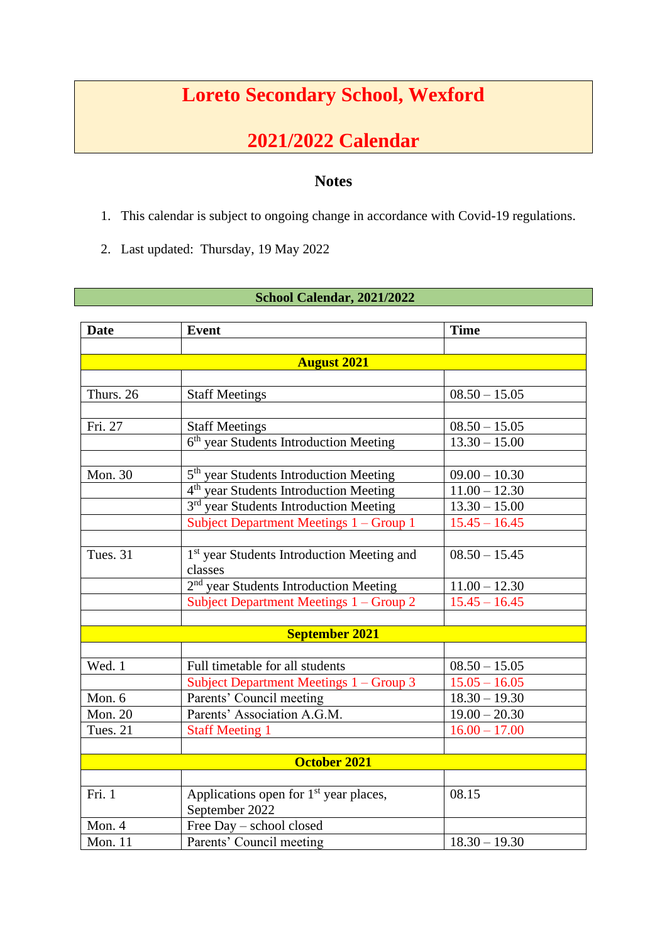## **Loreto Secondary School, Wexford**

## **2021/2022 Calendar**

## **Notes**

- 1. This calendar is subject to ongoing change in accordance with Covid-19 regulations.
- 2. Last updated: Thursday, 19 May 2022

## **School Calendar, 2021/2022**

| <b>Date</b>         | <b>Event</b>                                           | <b>Time</b>                |  |  |
|---------------------|--------------------------------------------------------|----------------------------|--|--|
|                     |                                                        |                            |  |  |
| <b>August 2021</b>  |                                                        |                            |  |  |
|                     |                                                        |                            |  |  |
| Thurs. 26           | <b>Staff Meetings</b>                                  | $08.50 - 15.05$            |  |  |
|                     |                                                        |                            |  |  |
| Fri. 27             | <b>Staff Meetings</b>                                  | $08.50 - 15.05$            |  |  |
|                     | 6 <sup>th</sup> year Students Introduction Meeting     | $13.30 - 15.00$            |  |  |
|                     |                                                        |                            |  |  |
| Mon. 30             | 5 <sup>th</sup> year Students Introduction Meeting     | $09.00 - 10.30$            |  |  |
|                     | 4 <sup>th</sup> year Students Introduction Meeting     | $11.00 - 12.30$            |  |  |
|                     | 3 <sup>rd</sup> year Students Introduction Meeting     | $13.30 - 15.00$            |  |  |
|                     | Subject Department Meetings 1 - Group 1                | $15.45 - 16.45$            |  |  |
|                     |                                                        |                            |  |  |
| Tues. 31            | 1 <sup>st</sup> year Students Introduction Meeting and | $08.50 - 15.45$            |  |  |
|                     | classes                                                |                            |  |  |
|                     | 2 <sup>nd</sup> year Students Introduction Meeting     | $11.00 - 12.30$            |  |  |
|                     | Subject Department Meetings 1 – Group 2                | $15.45 - 16.45$            |  |  |
|                     |                                                        |                            |  |  |
|                     | <b>September 2021</b>                                  |                            |  |  |
|                     |                                                        |                            |  |  |
| Wed. 1              | Full timetable for all students                        | $08.50 - 15.05$            |  |  |
|                     | Subject Department Meetings 1 – Group 3                | $15.05 - 16.05$            |  |  |
| Mon. 6              | Parents' Council meeting                               | $18.30 - 19.30$            |  |  |
| <b>Mon. 20</b>      | Parents' Association A.G.M.                            | $\overline{19.00} - 20.30$ |  |  |
| Tues. 21            | <b>Staff Meeting 1</b>                                 | $16.00 - 17.00$            |  |  |
|                     |                                                        |                            |  |  |
| <b>October 2021</b> |                                                        |                            |  |  |
|                     |                                                        |                            |  |  |
| Fri. 1              | Applications open for 1 <sup>st</sup> year places,     | 08.15                      |  |  |
|                     | September 2022                                         |                            |  |  |
| Mon. 4              | Free Day - school closed                               |                            |  |  |
| <b>Mon. 11</b>      | Parents' Council meeting                               | $18.30 - 19.30$            |  |  |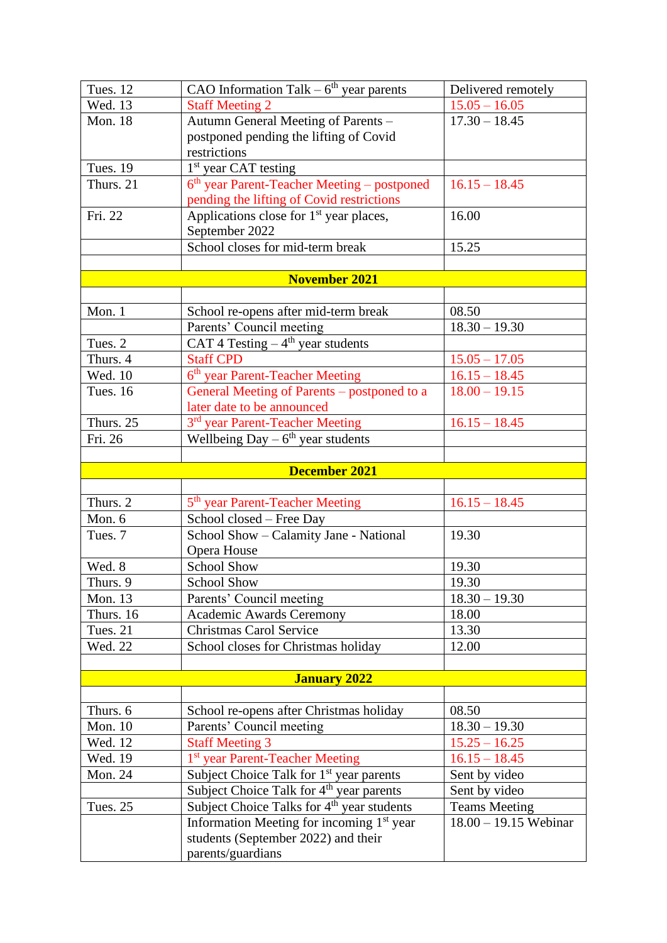| Tues. 12        | CAO Information Talk $-6th$ year parents                | Delivered remotely      |
|-----------------|---------------------------------------------------------|-------------------------|
| Wed. $13$       | <b>Staff Meeting 2</b>                                  | $15.05 - 16.05$         |
| <b>Mon. 18</b>  | Autumn General Meeting of Parents -                     | $17.30 - 18.45$         |
|                 | postponed pending the lifting of Covid                  |                         |
|                 | restrictions                                            |                         |
| <b>Tues. 19</b> | <sup>1st</sup> year CAT testing                         |                         |
| Thurs. 21       | 6 <sup>th</sup> year Parent-Teacher Meeting – postponed | $16.15 - 18.45$         |
|                 | pending the lifting of Covid restrictions               |                         |
| Fri. 22         | Applications close for 1 <sup>st</sup> year places,     | 16.00                   |
|                 | September 2022                                          |                         |
|                 | School closes for mid-term break                        | 15.25                   |
|                 |                                                         |                         |
|                 | <b>November 2021</b>                                    |                         |
|                 |                                                         |                         |
| Mon. 1          | School re-opens after mid-term break                    | 08.50                   |
|                 | Parents' Council meeting                                | $18.30 - 19.30$         |
| Tues. 2         | CAT 4 Testing $-4$ <sup>th</sup> year students          |                         |
| Thurs. 4        | <b>Staff CPD</b>                                        | $15.05 - 17.05$         |
| Wed. 10         | 6 <sup>th</sup> year Parent-Teacher Meeting             | $16.15 - 18.45$         |
| <b>Tues. 16</b> | General Meeting of Parents – postponed to a             | $18.00 - 19.15$         |
|                 | later date to be announced                              |                         |
| Thurs. 25       | 3 <sup>rd</sup> year Parent-Teacher Meeting             | $16.15 - 18.45$         |
| Fri. 26         | Wellbeing Day $-6th$ year students                      |                         |
|                 |                                                         |                         |
|                 | <b>December 2021</b>                                    |                         |
|                 |                                                         |                         |
| Thurs. 2        | 5 <sup>th</sup> year Parent-Teacher Meeting             | $16.15 - 18.45$         |
| Mon. 6          | School closed - Free Day                                |                         |
| Tues. 7         | School Show - Calamity Jane - National                  | 19.30                   |
|                 | Opera House                                             |                         |
| Wed. 8          | School Show                                             | 19.30                   |
| Thurs. 9        | <b>School Show</b>                                      | 19.30                   |
| <b>Mon. 13</b>  | Parents' Council meeting                                | $18.30 - 19.30$         |
| Thurs. 16       | <b>Academic Awards Ceremony</b>                         | 18.00                   |
| Tues. 21        | <b>Christmas Carol Service</b>                          | 13.30                   |
| Wed. 22         | School closes for Christmas holiday                     | 12.00                   |
|                 |                                                         |                         |
|                 | <b>January 2022</b>                                     |                         |
|                 |                                                         |                         |
| Thurs. 6        | School re-opens after Christmas holiday                 | 08.50                   |
| <b>Mon. 10</b>  | Parents' Council meeting                                | $18.30 - 19.30$         |
| Wed. 12         | <b>Staff Meeting 3</b>                                  | $15.25 - 16.25$         |
| Wed. 19         | <sup>1st</sup> year Parent-Teacher Meeting              | $16.15 - 18.45$         |
| <b>Mon. 24</b>  | Subject Choice Talk for 1 <sup>st</sup> year parents    | Sent by video           |
|                 | Subject Choice Talk for 4 <sup>th</sup> year parents    | Sent by video           |
| Tues. 25        | Subject Choice Talks for 4 <sup>th</sup> year students  | <b>Teams Meeting</b>    |
|                 | Information Meeting for incoming 1 <sup>st</sup> year   | $18.00 - 19.15$ Webinar |
|                 | students (September 2022) and their                     |                         |
|                 | parents/guardians                                       |                         |
|                 |                                                         |                         |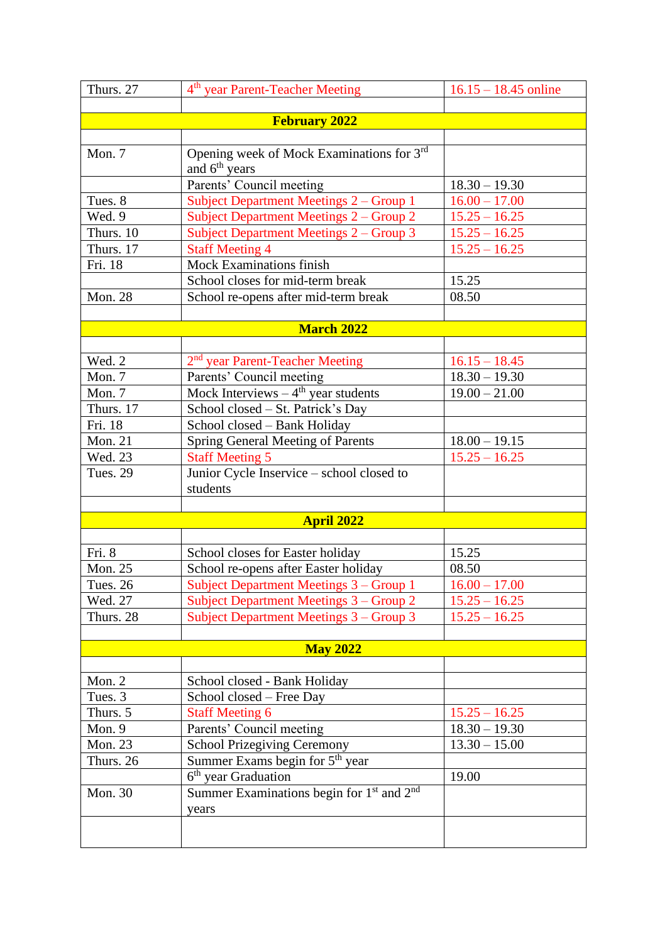| Thurs. 27        | 4 <sup>th</sup> year Parent-Teacher Meeting                                  | $16.15 - 18.45$ online             |
|------------------|------------------------------------------------------------------------------|------------------------------------|
|                  |                                                                              |                                    |
|                  | <b>February 2022</b>                                                         |                                    |
| Mon. 7           | Opening week of Mock Examinations for 3rd                                    |                                    |
|                  | and $6th$ years                                                              |                                    |
|                  | Parents' Council meeting                                                     | $18.30 - 19.30$                    |
| Tues. 8          | Subject Department Meetings 2 – Group 1                                      | $16.00 - 17.00$                    |
| Wed. 9           | Subject Department Meetings 2 - Group 2                                      | $15.25 - 16.25$                    |
| Thurs. 10        | Subject Department Meetings 2 - Group 3                                      | $15.25 - 16.25$                    |
| Thurs. 17        | <b>Staff Meeting 4</b>                                                       | $15.25 - 16.25$                    |
| Fri. 18          | <b>Mock Examinations finish</b>                                              |                                    |
|                  | School closes for mid-term break                                             | 15.25                              |
| <b>Mon. 28</b>   | School re-opens after mid-term break                                         | 08.50                              |
|                  |                                                                              |                                    |
|                  | <b>March 2022</b>                                                            |                                    |
|                  |                                                                              |                                    |
| Wed. 2<br>Mon. 7 | 2 <sup>nd</sup> year Parent-Teacher Meeting                                  | $16.15 - 18.45$                    |
| Mon. 7           | Parents' Council meeting<br>Mock Interviews $-4$ <sup>th</sup> year students | $18.30 - 19.30$<br>$19.00 - 21.00$ |
| Thurs. 17        | School closed – St. Patrick's Day                                            |                                    |
| Fri. 18          | School closed - Bank Holiday                                                 |                                    |
| <b>Mon. 21</b>   | <b>Spring General Meeting of Parents</b>                                     | $18.00 - 19.15$                    |
| Wed. 23          | <b>Staff Meeting 5</b>                                                       | $15.25 - 16.25$                    |
| <b>Tues. 29</b>  | Junior Cycle Inservice - school closed to                                    |                                    |
|                  | students                                                                     |                                    |
|                  |                                                                              |                                    |
|                  | <b>April 2022</b>                                                            |                                    |
|                  |                                                                              |                                    |
| Fri. 8           | School closes for Easter holiday                                             | 15.25                              |
| Mon. 25          | School re-opens after Easter holiday                                         | 08.50                              |
| <b>Tues. 26</b>  | Subject Department Meetings 3 – Group 1                                      | $16.00 - 17.00$                    |
| Wed. 27          | Subject Department Meetings 3 - Group 2                                      | $15.25 - 16.25$                    |
| Thurs. 28        | Subject Department Meetings 3 – Group 3                                      | $15.25 - 16.25$                    |
|                  |                                                                              |                                    |
|                  | <b>May 2022</b>                                                              |                                    |
| Mon. $2$         |                                                                              |                                    |
| Tues. 3          | School closed - Bank Holiday<br>School closed – Free Day                     |                                    |
| Thurs. 5         | <b>Staff Meeting 6</b>                                                       | $15.25 - 16.25$                    |
| Mon. 9           | Parents' Council meeting                                                     | $18.30 - 19.30$                    |
| <b>Mon. 23</b>   | <b>School Prizegiving Ceremony</b>                                           | $13.30 - 15.00$                    |
| Thurs. 26        | Summer Exams begin for 5 <sup>th</sup> year                                  |                                    |
|                  | 6 <sup>th</sup> year Graduation                                              | 19.00                              |
| Mon. 30          | Summer Examinations begin for 1 <sup>st</sup> and 2 <sup>nd</sup>            |                                    |
|                  | years                                                                        |                                    |
|                  |                                                                              |                                    |
|                  |                                                                              |                                    |